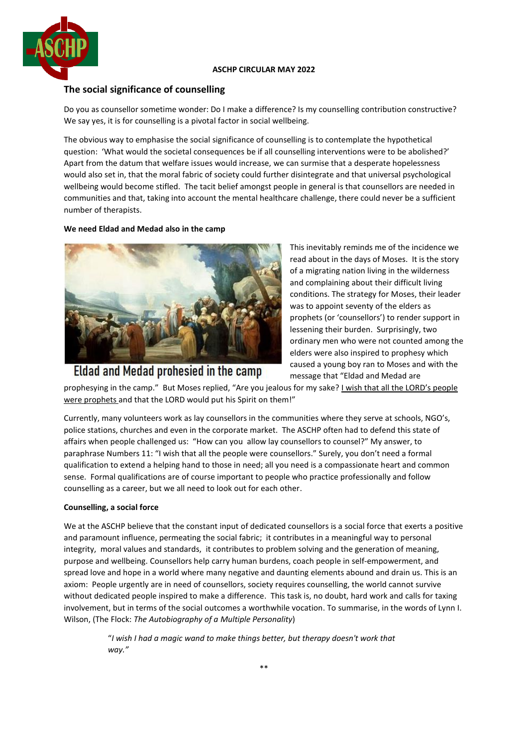

## **ASCHP CIRCULAR MAY 2022**

# **The social significance of counselling**

Do you as counsellor sometime wonder: Do I make a difference? Is my counselling contribution constructive? We say yes, it is for counselling is a pivotal factor in social wellbeing.

The obvious way to emphasise the social significance of counselling is to contemplate the hypothetical question: 'What would the societal consequences be if all counselling interventions were to be abolished?' Apart from the datum that welfare issues would increase, we can surmise that a desperate hopelessness would also set in, that the moral fabric of society could further disintegrate and that universal psychological wellbeing would become stifled. The tacit belief amongst people in general is that counsellors are needed in communities and that, taking into account the mental healthcare challenge, there could never be a sufficient number of therapists.

#### **We need Eldad and Medad also in the camp**



Eldad and Medad prohesied in the camp

This inevitably reminds me of the incidence we read about in the days of Moses. It is the story of a migrating nation living in the wilderness and complaining about their difficult living conditions. The strategy for Moses, their leader was to appoint seventy of the elders as prophets (or 'counsellors') to render support in lessening their burden. Surprisingly, two ordinary men who were not counted among the elders were also inspired to prophesy which caused a young boy ran to Moses and with the message that "Eldad and Medad are

prophesying in the camp." But Moses replied, "Are you jealous for my sake? I wish that all the LORD's people were prophets and that the LORD would put his Spirit on them!"

Currently, many volunteers work as lay counsellors in the communities where they serve at schools, NGO's, police stations, churches and even in the corporate market. The ASCHP often had to defend this state of affairs when people challenged us: "How can you allow lay counsellors to counsel?" My answer, to paraphrase Numbers 11: "I wish that all the people were counsellors." Surely, you don't need a formal qualification to extend a helping hand to those in need; all you need is a compassionate heart and common sense. Formal qualifications are of course important to people who practice professionally and follow counselling as a career, but we all need to look out for each other.

#### **Counselling, a social force**

We at the ASCHP believe that the constant input of dedicated counsellors is a social force that exerts a positive and paramount influence, permeating the social fabric; it contributes in a meaningful way to personal integrity, moral values and standards, it contributes to problem solving and the generation of meaning, purpose and wellbeing. Counsellors help carry human burdens, coach people in self-empowerment, and spread love and hope in a world where many negative and daunting elements abound and drain us. This is an axiom: People urgently are in need of counsellors, society requires counselling, the world cannot survive without dedicated people inspired to make a difference. This task is, no doubt, hard work and calls for taxing involvement, but in terms of the social outcomes a worthwhile vocation. To summarise, in the words of Lynn I. Wilson, (The Flock: *The Autobiography of a Multiple Personality*)

> "*I wish I had a magic wand to make things better, but therapy doesn't work that way."*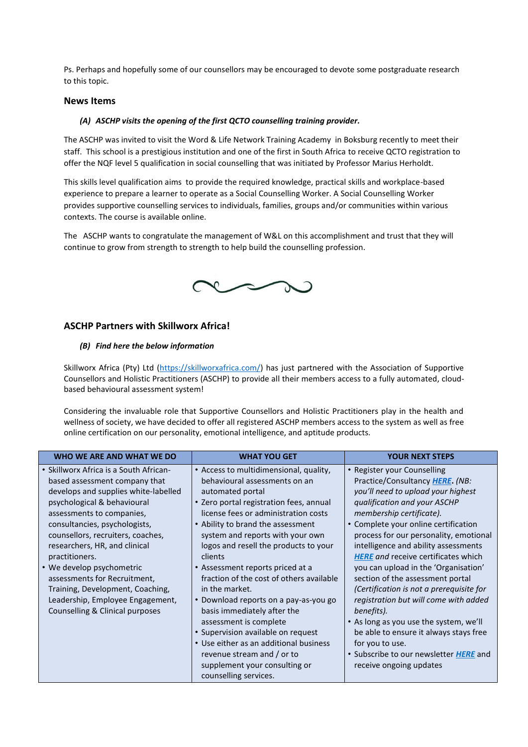Ps. Perhaps and hopefully some of our counsellors may be encouraged to devote some postgraduate research to this topic.

## **News Items**

### *(A) ASCHP visits the opening of the first QCTO counselling training provider.*

The ASCHP was invited to visit the Word & Life Network Training Academy in Boksburg recently to meet their staff. This school is a prestigious institution and one of the first in South Africa to receive QCTO registration to offer the NQF level 5 qualification in social counselling that was initiated by Professor Marius Herholdt.

This skills level qualification aims to provide the required knowledge, practical skills and workplace-based experience to prepare a learner to operate as a Social Counselling Worker. A Social Counselling Worker provides supportive counselling services to individuals, families, groups and/or communities within various contexts. The course is available online.

The ASCHP wants to congratulate the management of W&L on this accomplishment and trust that they will continue to grow from strength to strength to help build the counselling profession.



# **ASCHP Partners with Skillworx Africa!**

#### *(B) Find here the below information*

Skillworx Africa (Pty) Ltd [\(https://skillworxafrica.com/\)](https://skillworxafrica.com/) has just partnered with the Association of Supportive Counsellors and Holistic Practitioners (ASCHP) to provide all their members access to a fully automated, cloudbased behavioural assessment system!

Considering the invaluable role that Supportive Counsellors and Holistic Practitioners play in the health and wellness of society, we have decided to offer all registered ASCHP members access to the system as well as free online certification on our personality, emotional intelligence, and aptitude products.

| WHO WE ARE AND WHAT WE DO                                                                                                                                                                                                                                                                                                                                                                                                                                                    | <b>WHAT YOU GET</b>                                                                                                                                                                                                                                                                                                                                                                                                                                                                                                                                                                                                                                                                     | <b>YOUR NEXT STEPS</b>                                                                                                                                                                                                                                                                                                                                                                                                                                                                                                                                                                                                                                                                              |
|------------------------------------------------------------------------------------------------------------------------------------------------------------------------------------------------------------------------------------------------------------------------------------------------------------------------------------------------------------------------------------------------------------------------------------------------------------------------------|-----------------------------------------------------------------------------------------------------------------------------------------------------------------------------------------------------------------------------------------------------------------------------------------------------------------------------------------------------------------------------------------------------------------------------------------------------------------------------------------------------------------------------------------------------------------------------------------------------------------------------------------------------------------------------------------|-----------------------------------------------------------------------------------------------------------------------------------------------------------------------------------------------------------------------------------------------------------------------------------------------------------------------------------------------------------------------------------------------------------------------------------------------------------------------------------------------------------------------------------------------------------------------------------------------------------------------------------------------------------------------------------------------------|
| • Skillworx Africa is a South African-<br>based assessment company that<br>develops and supplies white-labelled<br>psychological & behavioural<br>assessments to companies,<br>consultancies, psychologists,<br>counsellors, recruiters, coaches,<br>researchers, HR, and clinical<br>practitioners.<br>• We develop psychometric<br>assessments for Recruitment,<br>Training, Development, Coaching,<br>Leadership, Employee Engagement,<br>Counselling & Clinical purposes | • Access to multidimensional, quality,<br>behavioural assessments on an<br>automated portal<br>• Zero portal registration fees, annual<br>license fees or administration costs<br>• Ability to brand the assessment<br>system and reports with your own<br>logos and resell the products to your<br>clients<br>• Assessment reports priced at a<br>fraction of the cost of others available<br>in the market.<br>• Download reports on a pay-as-you go<br>basis immediately after the<br>assessment is complete<br>• Supervision available on request<br>• Use either as an additional business<br>revenue stream and / or to<br>supplement your consulting or<br>counselling services. | • Register your Counselling<br>Practice/Consultancy HERE. (NB:<br>you'll need to upload your highest<br>qualification and your ASCHP<br>membership certificate).<br>• Complete your online certification<br>process for our personality, emotional<br>intelligence and ability assessments<br><b>HERE</b> and receive certificates which<br>you can upload in the 'Organisation'<br>section of the assessment portal<br>(Certification is not a prerequisite for<br>registration but will come with added<br>benefits).<br>• As long as you use the system, we'll<br>be able to ensure it always stays free<br>for you to use.<br>• Subscribe to our newsletter HERE and<br>receive ongoing updates |